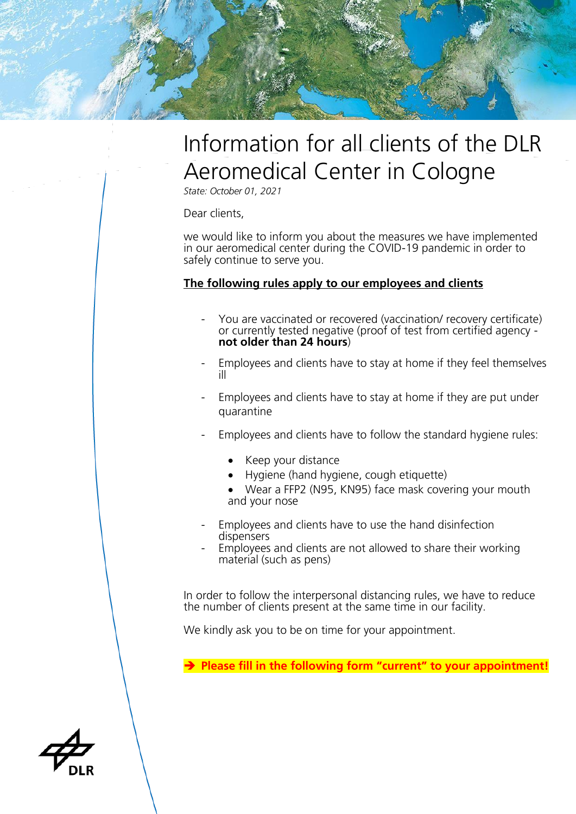

## Information for all clients of the DLR Aeromedical Center in Cologne

*State: October 01, 2021*

Dear clients,

we would like to inform you about the measures we have implemented in our aeromedical center during the COVID-19 pandemic in order to safely continue to serve you.

## **The following rules apply to our employees and clients**

- You are vaccinated or recovered (vaccination/ recovery certificate) or currently tested negative (proof of test from certified agency **not older than 24 hours**)
- Employees and clients have to stay at home if they feel themselves ill
- Employees and clients have to stay at home if they are put under quarantine
- Employees and clients have to follow the standard hygiene rules:
	- Keep your distance
	- Hygiene (hand hygiene, cough etiquette)
	- Wear a FFP2 (N95, KN95) face mask covering your mouth and your nose
- Employees and clients have to use the hand disinfection dispensers
- Employees and clients are not allowed to share their working material (such as pens)

In order to follow the interpersonal distancing rules, we have to reduce the number of clients present at the same time in our facility.

We kindly ask you to be on time for your appointment.

➔ **Please fill in the following form "current" to your appointment!**